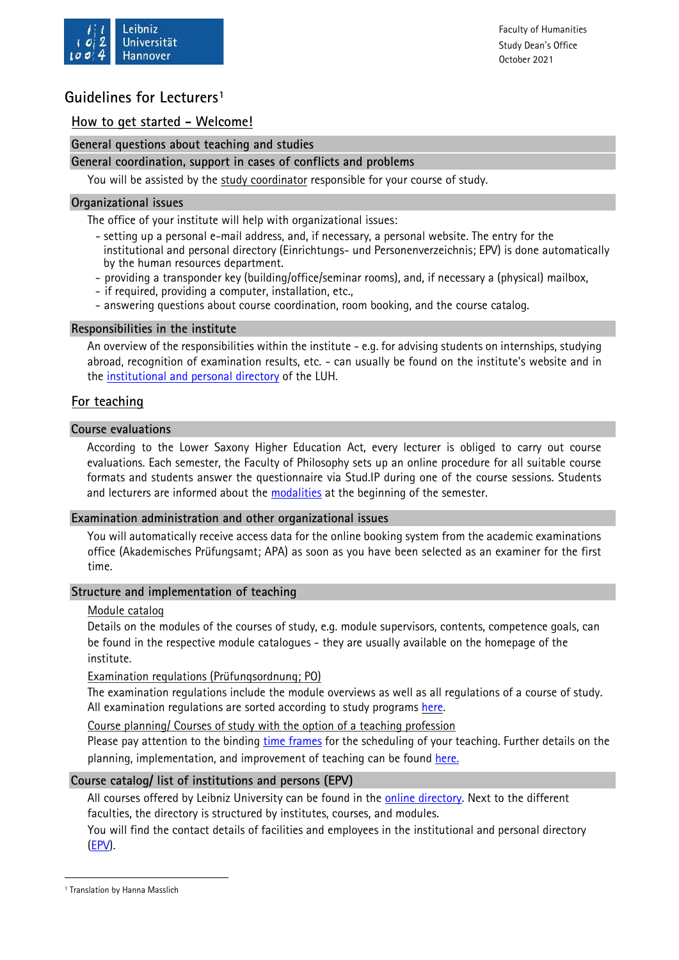

# **Guidelines for Lecturers[1](#page-0-0)**

# **How to get started - Welcome!**

# **General questions about teaching and studies**

## **General coordination, support in cases of conflicts and problems**

You will be assisted by the study [coordinator](https://www.phil.uni-hannover.de/de/fakultaet/fakultaetsleitung/studiendekanat/) responsible for your course of study.

## **Organizational issues**

The office of your institute will help with organizational issues:

- setting up a personal e-mail address, and, if necessary, a personal website. The entry for the institutional and personal directory (Einrichtungs- und Personenverzeichnis; EPV) is done automatically by the human resources department.
- providing a transponder key (building/office/seminar rooms), and, if necessary a (physical) mailbox,
- if required, providing a computer, installation, etc.,
- answering questions about course coordination, room booking, and the course catalog.

## **Responsibilities in the institute**

An overview of the responsibilities within the institute - e.g. for advising students on internships, studying abroad, recognition of examination results, etc. - can usually be found on the institute's website and in the [institutional](https://www.epv.uni-hannover.de/) and personal directory of the LUH.

# **For teaching**

## **Course evaluations**

According to the Lower Saxony Higher Education Act, every lecturer is obliged to carry out course evaluations. Each semester, the Faculty of Philosophy sets up an online procedure for all suitable course formats and students answer the questionnaire via Stud.IP during one of the course sessions. Students and lecturers are informed about the [modalities](https://www.phil.uni-hannover.de/de/studium/studien-und-lehrqualitaet/lehrevaluation/) at the beginning of the semester.

## **Examination administration and other organizational issues**

You will automatically receive access data for the online booking system from the academic examinations office (Akademisches Prüfungsamt; APA) as soon as you have been selected as an examiner for the first time.

## **Structure and implementation of teaching**

## Module catalog

Details on the modules of the courses of study, e.g. module supervisors, contents, competence goals, can be found in the respective module catalogues - they are usually available on the homepage of the institute.

# Examination regulations (Prüfungsordnung; PO)

The examination regulations include the module overviews as well as all regulations of a course of study. All examination regulations are sorted according to study programs [here.](http://www.uni-hannover.de/de/studium/studiengaenge/)

Course planning/ Courses of study with the option of a teaching profession

Please pay attention to the binding time [frames](https://www.phil.uni-hannover.de/de/studium/lehre/?&no_cache=1#c19131) for the scheduling of your teaching. Further details on the planning, implementation, and improvement of teaching can be found [here.](https://www.phil.uni-hannover.de/de/studium/lehre/)

# **Course catalog/ list of institutions and persons (EPV)**

All courses offered by Leibniz University can be found in the online [directory.](https://www.uni-hannover.de/de/studium/im-studium/vorlesungen/) Next to the different faculties, the directory is structured by institutes, courses, and modules.

You will find the contact details of facilities and employees in the institutional and personal directory [\(EPV\)](https://www.epv.uni-hannover.de/).

<span id="page-0-0"></span><sup>&</sup>lt;u>.</u> <sup>1</sup> Translation by Hanna Masslich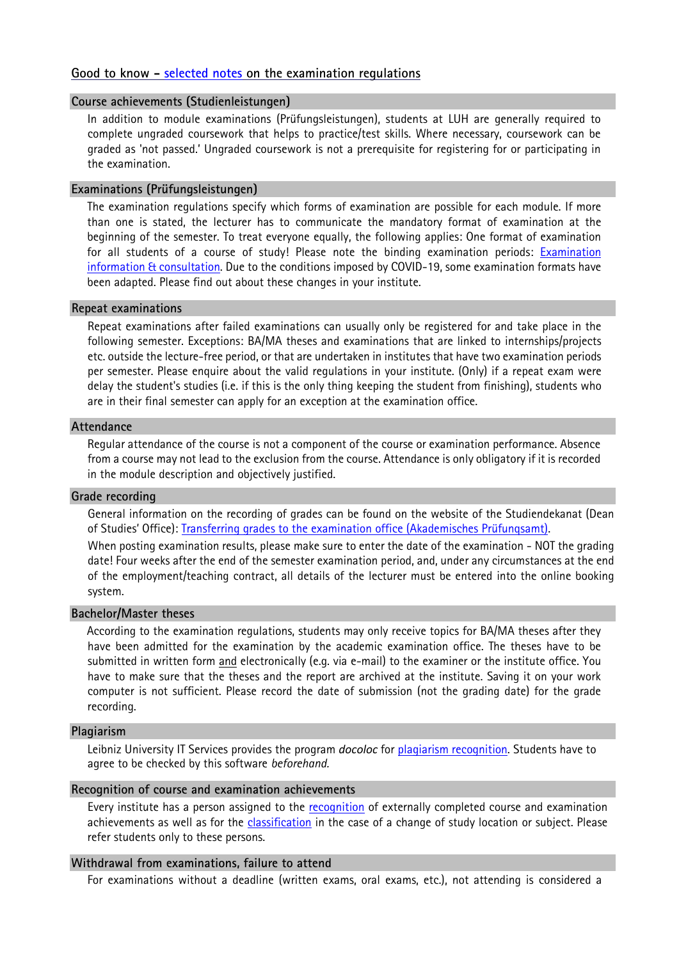## **Good to know - [selected](https://www.phil.uni-hannover.de/de/studium/im-studium/1x1studierenpruefen/) notes on the examination regulations**

#### **Course achievements (Studienleistungen)**

In addition to module examinations (Prüfungsleistungen), students at LUH are generally required to complete ungraded coursework that helps to practice/test skills. Where necessary, coursework can be graded as 'not passed.' Ungraded coursework is not a prerequisite for registering for or participating in the examination.

#### **Examinations (Prüfungsleistungen)**

The examination regulations specify which forms of examination are possible for each module. If more than one is stated, the lecturer has to communicate the mandatory format of examination at the beginning of the semester. To treat everyone equally, the following applies: One format of examination for all students of a course of study! Please note the binding examination periods: [Examination](https://www.uni-hannover.de/de/studium/im-studium/pruefungsinfos-fachberatung/) information & [consultation.](https://www.uni-hannover.de/de/studium/im-studium/pruefungsinfos-fachberatung/) Due to the conditions imposed by COVID-19, some examination formats have been adapted. Please find out about these changes in your institute.

#### **Repeat examinations**

Repeat examinations after failed examinations can usually only be registered for and take place in the following semester. Exceptions: BA/MA theses and examinations that are linked to internships/projects etc. outside the lecture-free period, or that are undertaken in institutes that have two examination periods per semester. Please enquire about the valid regulations in your institute. (Only) if a repeat exam were delay the student's studies (i.e. if this is the only thing keeping the student from finishing), students who are in their final semester can apply for an exception at the examination office.

#### **Attendance**

Regular attendance of the course is not a component of the course or examination performance. Absence from a course may not lead to the exclusion from the course. Attendance is only obligatory if it is recorded in the module description and objectively justified.

## **Grade recording**

General information on the recording of grades can be found on the website of the Studiendekanat (Dean of Studies' Office): Transferring grades to the examination office [\(Akademisches](https://www.phil.uni-hannover.de/de/studium/im-studium/1x1studierenpruefen/) Prüfunqsamt).

When posting examination results, please make sure to enter the date of the examination - NOT the grading date! Four weeks after the end of the semester examination period, and, under any circumstances at the end of the employment/teaching contract, all details of the lecturer must be entered into the online booking system.

#### **Bachelor/Master theses**

According to the examination regulations, students may only receive topics for BA/MA theses after they have been admitted for the examination by the academic examination office. The theses have to be submitted in written form and electronically (e.g. via e-mail) to the examiner or the institute office. You have to make sure that the theses and the report are archived at the institute. Saving it on your work computer is not sufficient. Please record the date of submission (not the grading date) for the grade recording.

#### **Plagiarism**

Leibniz University IT Services provides the program *docoloc* for plagiarism [recognition.](http://www.luis.uni-hannover.de/plagiatsuche.html) Students have to agree to be checked by this software *beforehand.*

#### **Recognition of course and examination achievements**

Every institute has a person assigned to the [recognition](https://www.uni-hannover.de/de/studium/im-studium/anerkennung/) of externally completed course and examination achievements as well as for the [classification](https://www.uni-hannover.de/de/studium/im-studium/anerkennung/anerkennung-bei-hochschul-und-fachwechsel/) in the case of a change of study location or subject. Please refer students only to these persons.

## **Withdrawal from examinations, failure to attend**

For examinations without a deadline (written exams, oral exams, etc.), not attending is considered a